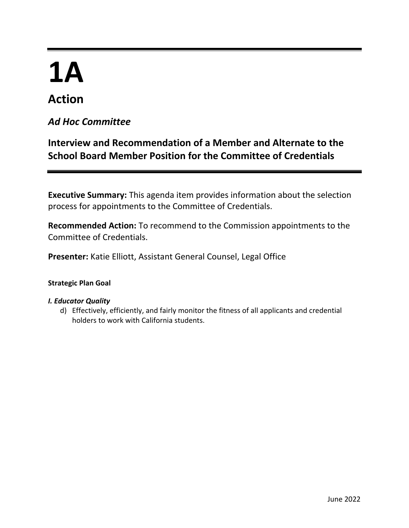# **1A**

## **Action**

### *Ad Hoc Committee*

## **Interview and Recommendation of a Member and Alternate to the School Board Member Position for the Committee of Credentials**

**Executive Summary:** This agenda item provides information about the selection process for appointments to the Committee of Credentials.

**Recommended Action:** To recommend to the Commission appointments to the Committee of Credentials.

**Presenter:** Katie Elliott, Assistant General Counsel, Legal Office

#### **Strategic Plan Goal**

#### *I. Educator Quality*

d) Effectively, efficiently, and fairly monitor the fitness of all applicants and credential holders to work with California students.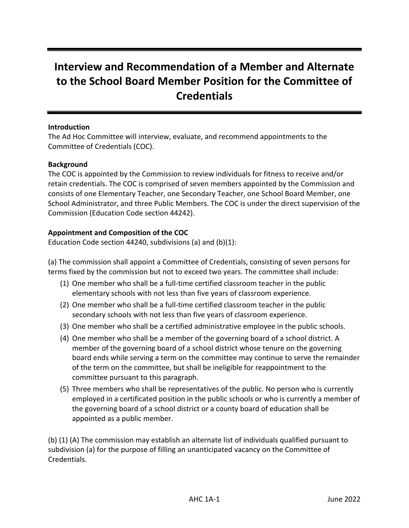## **Interview and Recommendation of a Member and Alternate to the School Board Member Position for the Committee of Credentials**

#### **Introduction**

The Ad Hoc Committee will interview, evaluate, and recommend appointments to the Committee of Credentials (COC).

#### **Background**

The COC is appointed by the Commission to review individuals for fitness to receive and/or retain credentials. The COC is comprised of seven members appointed by the Commission and consists of one Elementary Teacher, one Secondary Teacher, one School Board Member, one School Administrator, and three Public Members. The COC is under the direct supervision of the Commission (Education Code section 44242).

#### **Appointment and Composition of the COC**

Education Code section 44240, subdivisions (a) and (b)(1):

(a) The commission shall appoint a Committee of Credentials, consisting of seven persons for terms fixed by the commission but not to exceed two years. The committee shall include:

- (1) One member who shall be a full-time certified classroom teacher in the public elementary schools with not less than five years of classroom experience.
- (2) One member who shall be a full-time certified classroom teacher in the public secondary schools with not less than five years of classroom experience.
- (3) One member who shall be a certified administrative employee in the public schools.
- (4) One member who shall be a member of the governing board of a school district. A member of the governing board of a school district whose tenure on the governing board ends while serving a term on the committee may continue to serve the remainder of the term on the committee, but shall be ineligible for reappointment to the committee pursuant to this paragraph.
- (5) Three members who shall be representatives of the public. No person who is currently employed in a certificated position in the public schools or who is currently a member of the governing board of a school district or a county board of education shall be appointed as a public member.

(b) (1) (A) The commission may establish an alternate list of individuals qualified pursuant to subdivision (a) for the purpose of filling an unanticipated vacancy on the Committee of Credentials.